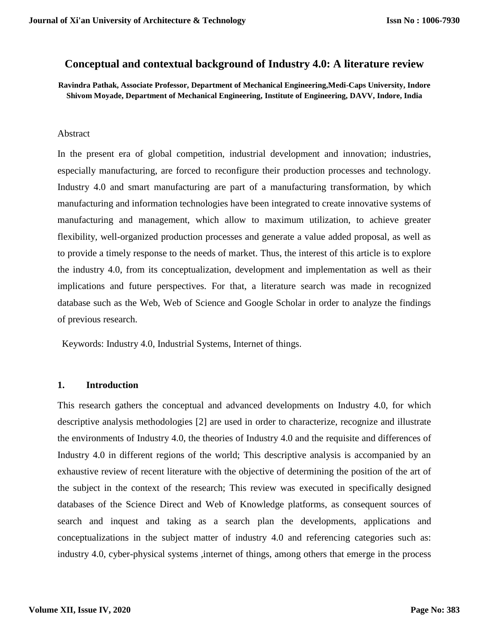# **Conceptual and contextual background of Industry 4.0: A literature review**

**Ravindra Pathak, Associate Professor, Department of Mechanical Engineering,Medi-Caps University, Indore Shivom Moyade, Department of Mechanical Engineering, Institute of Engineering, DAVV, Indore, India**

#### Abstract

In the present era of global competition, industrial development and innovation; industries, especially manufacturing, are forced to reconfigure their production processes and technology. Industry 4.0 and smart manufacturing are part of a manufacturing transformation, by which manufacturing and information technologies have been integrated to create innovative systems of manufacturing and management, which allow to maximum utilization, to achieve greater flexibility, well-organized production processes and generate a value added proposal, as well as to provide a timely response to the needs of market. Thus, the interest of this article is to explore the industry 4.0, from its conceptualization, development and implementation as well as their implications and future perspectives. For that, a literature search was made in recognized database such as the Web, Web of Science and Google Scholar in order to analyze the findings of previous research.

Keywords: Industry 4.0, Industrial Systems, Internet of things.

#### **1. Introduction**

This research gathers the conceptual and advanced developments on Industry 4.0, for which descriptive analysis methodologies [2] are used in order to characterize, recognize and illustrate the environments of Industry 4.0, the theories of Industry 4.0 and the requisite and differences of Industry 4.0 in different regions of the world; This descriptive analysis is accompanied by an exhaustive review of recent literature with the objective of determining the position of the art of the subject in the context of the research; This review was executed in specifically designed databases of the Science Direct and Web of Knowledge platforms, as consequent sources of search and inquest and taking as a search plan the developments, applications and conceptualizations in the subject matter of industry 4.0 and referencing categories such as: industry 4.0, cyber-physical systems ,internet of things, among others that emerge in the process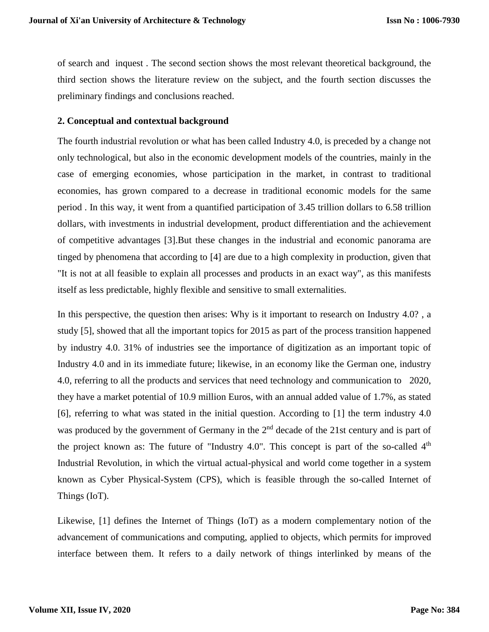of search and inquest . The second section shows the most relevant theoretical background, the third section shows the literature review on the subject, and the fourth section discusses the preliminary findings and conclusions reached.

#### **2. Conceptual and contextual background**

The fourth industrial revolution or what has been called Industry 4.0, is preceded by a change not only technological, but also in the economic development models of the countries, mainly in the case of emerging economies, whose participation in the market, in contrast to traditional economies, has grown compared to a decrease in traditional economic models for the same period . In this way, it went from a quantified participation of 3.45 trillion dollars to 6.58 trillion dollars, with investments in industrial development, product differentiation and the achievement of competitive advantages [3].But these changes in the industrial and economic panorama are tinged by phenomena that according to [4] are due to a high complexity in production, given that "It is not at all feasible to explain all processes and products in an exact way", as this manifests itself as less predictable, highly flexible and sensitive to small externalities.

In this perspective, the question then arises: Why is it important to research on Industry 4.0? , a study [5], showed that all the important topics for 2015 as part of the process transition happened by industry 4.0. 31% of industries see the importance of digitization as an important topic of Industry 4.0 and in its immediate future; likewise, in an economy like the German one, industry 4.0, referring to all the products and services that need technology and communication to 2020, they have a market potential of 10.9 million Euros, with an annual added value of 1.7%, as stated [6], referring to what was stated in the initial question. According to [1] the term industry 4.0 was produced by the government of Germany in the  $2<sup>nd</sup>$  decade of the 21st century and is part of the project known as: The future of "Industry 4.0". This concept is part of the so-called  $4<sup>th</sup>$ Industrial Revolution, in which the virtual actual-physical and world come together in a system known as Cyber Physical-System (CPS), which is feasible through the so-called Internet of Things (IoT).

Likewise, [1] defines the Internet of Things (IoT) as a modern complementary notion of the advancement of communications and computing, applied to objects, which permits for improved interface between them. It refers to a daily network of things interlinked by means of the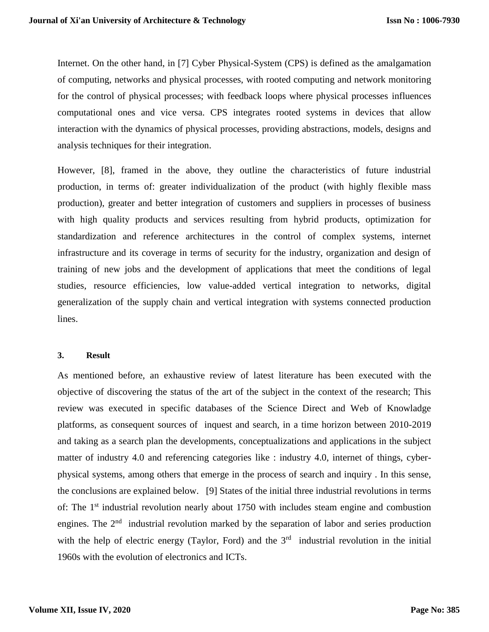Internet. On the other hand, in [7] Cyber Physical-System (CPS) is defined as the amalgamation of computing, networks and physical processes, with rooted computing and network monitoring for the control of physical processes; with feedback loops where physical processes influences computational ones and vice versa. CPS integrates rooted systems in devices that allow interaction with the dynamics of physical processes, providing abstractions, models, designs and analysis techniques for their integration.

However, [8], framed in the above, they outline the characteristics of future industrial production, in terms of: greater individualization of the product (with highly flexible mass production), greater and better integration of customers and suppliers in processes of business with high quality products and services resulting from hybrid products, optimization for standardization and reference architectures in the control of complex systems, internet infrastructure and its coverage in terms of security for the industry, organization and design of training of new jobs and the development of applications that meet the conditions of legal studies, resource efficiencies, low value-added vertical integration to networks, digital generalization of the supply chain and vertical integration with systems connected production lines.

#### **3. Result**

As mentioned before, an exhaustive review of latest literature has been executed with the objective of discovering the status of the art of the subject in the context of the research; This review was executed in specific databases of the Science Direct and Web of Knowladge platforms, as consequent sources of inquest and search, in a time horizon between 2010-2019 and taking as a search plan the developments, conceptualizations and applications in the subject matter of industry 4.0 and referencing categories like : industry 4.0, internet of things, cyberphysical systems, among others that emerge in the process of search and inquiry . In this sense, the conclusions are explained below. [9] States of the initial three industrial revolutions in terms of: The 1<sup>st</sup> industrial revolution nearly about 1750 with includes steam engine and combustion engines. The 2<sup>nd</sup> industrial revolution marked by the separation of labor and series production with the help of electric energy (Taylor, Ford) and the  $3<sup>rd</sup>$  industrial revolution in the initial 1960s with the evolution of electronics and ICTs.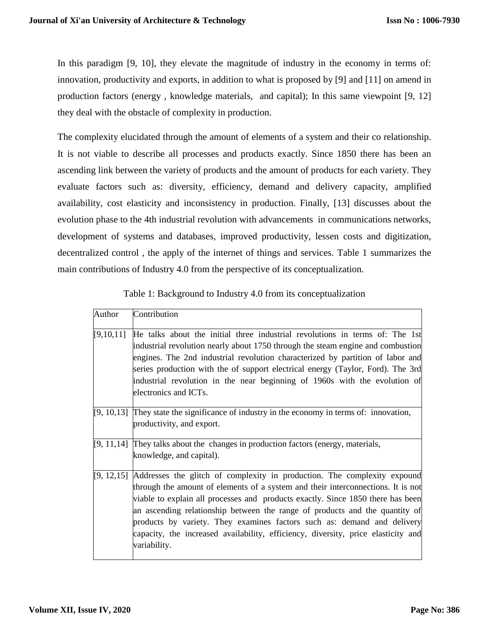In this paradigm [9, 10], they elevate the magnitude of industry in the economy in terms of: innovation, productivity and exports, in addition to what is proposed by [9] and [11] on amend in production factors (energy , knowledge materials, and capital); In this same viewpoint [9, 12] they deal with the obstacle of complexity in production.

The complexity elucidated through the amount of elements of a system and their co relationship. It is not viable to describe all processes and products exactly. Since 1850 there has been an ascending link between the variety of products and the amount of products for each variety. They evaluate factors such as: diversity, efficiency, demand and delivery capacity, amplified availability, cost elasticity and inconsistency in production. Finally, [13] discusses about the evolution phase to the 4th industrial revolution with advancements in communications networks, development of systems and databases, improved productivity, lessen costs and digitization, decentralized control , the apply of the internet of things and services. Table 1 summarizes the main contributions of Industry 4.0 from the perspective of its conceptualization.

| Table 1: Background to Industry 4.0 from its conceptualization |  |
|----------------------------------------------------------------|--|
|                                                                |  |

| Author    | Contribution                                                                                                                                                                                                                                                                                                                                                                                                                                                                                                                 |
|-----------|------------------------------------------------------------------------------------------------------------------------------------------------------------------------------------------------------------------------------------------------------------------------------------------------------------------------------------------------------------------------------------------------------------------------------------------------------------------------------------------------------------------------------|
| [9,10,11] | He talks about the initial three industrial revolutions in terms of: The 1st<br>industrial revolution nearly about 1750 through the steam engine and combustion<br>engines. The 2nd industrial revolution characterized by partition of labor and<br>series production with the of support electrical energy (Taylor, Ford). The 3rd<br>industrial revolution in the near beginning of 1960s with the evolution of<br>electronics and ICTs.                                                                                  |
|           | [9, 10,13] They state the significance of industry in the economy in terms of: innovation,<br>productivity, and export.                                                                                                                                                                                                                                                                                                                                                                                                      |
|           | $[9, 11, 14]$ They talks about the changes in production factors (energy, materials,<br>knowledge, and capital).                                                                                                                                                                                                                                                                                                                                                                                                             |
|           | $[9, 12, 15]$ Addresses the glitch of complexity in production. The complexity expound<br>through the amount of elements of a system and their interconnections. It is not<br>viable to explain all processes and products exactly. Since 1850 there has been<br>an ascending relationship between the range of products and the quantity of<br>products by variety. They examines factors such as: demand and delivery<br>capacity, the increased availability, efficiency, diversity, price elasticity and<br>variability. |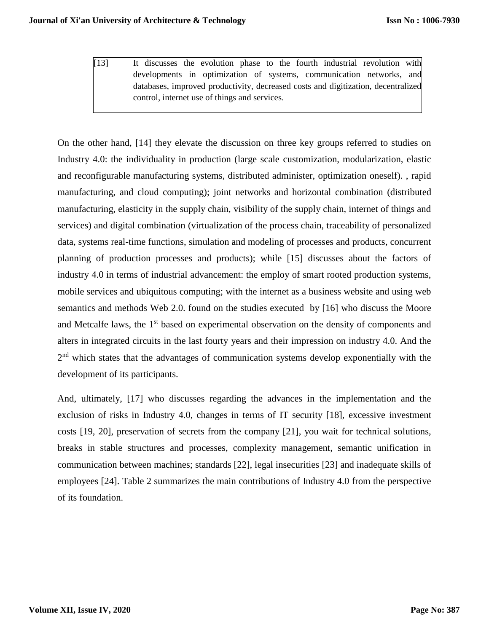[13] It discusses the evolution phase to the fourth industrial revolution with developments in optimization of systems, communication networks, and databases, improved productivity, decreased costs and digitization, decentralized control, internet use of things and services.

On the other hand, [14] they elevate the discussion on three key groups referred to studies on Industry 4.0: the individuality in production (large scale customization, modularization, elastic and reconfigurable manufacturing systems, distributed administer, optimization oneself). , rapid manufacturing, and cloud computing); joint networks and horizontal combination (distributed manufacturing, elasticity in the supply chain, visibility of the supply chain, internet of things and services) and digital combination (virtualization of the process chain, traceability of personalized data, systems real-time functions, simulation and modeling of processes and products, concurrent planning of production processes and products); while [15] discusses about the factors of industry 4.0 in terms of industrial advancement: the employ of smart rooted production systems, mobile services and ubiquitous computing; with the internet as a business website and using web semantics and methods Web 2.0. found on the studies executed by [16] who discuss the Moore and Metcalfe laws, the 1<sup>st</sup> based on experimental observation on the density of components and alters in integrated circuits in the last fourty years and their impression on industry 4.0. And the 2<sup>nd</sup> which states that the advantages of communication systems develop exponentially with the development of its participants.

And, ultimately, [17] who discusses regarding the advances in the implementation and the exclusion of risks in Industry 4.0, changes in terms of IT security [18], excessive investment costs [19, 20], preservation of secrets from the company [21], you wait for technical solutions, breaks in stable structures and processes, complexity management, semantic unification in communication between machines; standards [22], legal insecurities [23] and inadequate skills of employees [24]. Table 2 summarizes the main contributions of Industry 4.0 from the perspective of its foundation.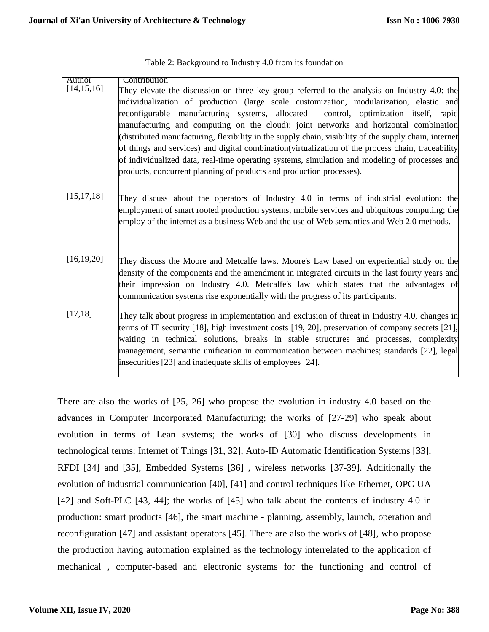| Author       | Contribution                                                                                          |
|--------------|-------------------------------------------------------------------------------------------------------|
| [14, 15, 16] | They elevate the discussion on three key group referred to the analysis on Industry 4.0: the          |
|              | individualization of production (large scale customization, modularization, elastic and               |
|              | reconfigurable manufacturing systems, allocated<br>control, optimization itself, rapid                |
|              | manufacturing and computing on the cloud); joint networks and horizontal combination                  |
|              | (distributed manufacturing, flexibility in the supply chain, visibility of the supply chain, internet |
|              | of things and services) and digital combination(virtualization of the process chain, traceability     |
|              | of individualized data, real-time operating systems, simulation and modeling of processes and         |
|              | products, concurrent planning of products and production processes).                                  |
|              |                                                                                                       |
| [15, 17, 18] | They discuss about the operators of Industry 4.0 in terms of industrial evolution: the                |
|              | employment of smart rooted production systems, mobile services and ubiquitous computing; the          |
|              | employ of the internet as a business Web and the use of Web semantics and Web 2.0 methods.            |
|              |                                                                                                       |
|              |                                                                                                       |
|              |                                                                                                       |
| [16, 19, 20] | They discuss the Moore and Metcalfe laws. Moore's Law based on experiential study on the              |
|              | density of the components and the amendment in integrated circuits in the last fourty years and       |
|              | their impression on Industry 4.0. Metcalfe's law which states that the advantages of                  |
|              | communication systems rise exponentially with the progress of its participants.                       |
| 17,18]       |                                                                                                       |
|              | They talk about progress in implementation and exclusion of threat in Industry 4.0, changes in        |
|              | terms of IT security [18], high investment costs [19, 20], preservation of company secrets [21],      |
|              | waiting in technical solutions, breaks in stable structures and processes, complexity                 |
|              | management, semantic unification in communication between machines; standards [22], legal             |
|              | insecurities [23] and inadequate skills of employees [24].                                            |
|              |                                                                                                       |

| Table 2: Background to Industry 4.0 from its foundation |  |  |  |
|---------------------------------------------------------|--|--|--|
|                                                         |  |  |  |

There are also the works of [25, 26] who propose the evolution in industry 4.0 based on the advances in Computer Incorporated Manufacturing; the works of [27-29] who speak about evolution in terms of Lean systems; the works of [30] who discuss developments in technological terms: Internet of Things [31, 32], Auto-ID Automatic Identification Systems [33], RFDI [34] and [35], Embedded Systems [36] , wireless networks [37-39]. Additionally the evolution of industrial communication [40], [41] and control techniques like Ethernet, OPC UA [42] and Soft-PLC [43, 44]; the works of [45] who talk about the contents of industry 4.0 in production: smart products [46], the smart machine - planning, assembly, launch, operation and reconfiguration [47] and assistant operators [45]. There are also the works of [48], who propose the production having automation explained as the technology interrelated to the application of mechanical , computer-based and electronic systems for the functioning and control of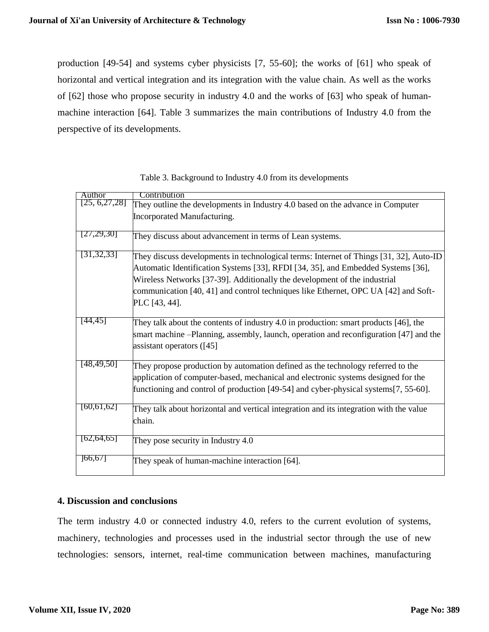production [49-54] and systems cyber physicists [7, 55-60]; the works of [61] who speak of horizontal and vertical integration and its integration with the value chain. As well as the works of [62] those who propose security in industry 4.0 and the works of [63] who speak of humanmachine interaction [64]. Table 3 summarizes the main contributions of Industry 4.0 from the perspective of its developments.

| Author          | Contribution                                                                           |
|-----------------|----------------------------------------------------------------------------------------|
| [25, 6, 27, 28] | They outline the developments in Industry 4.0 based on the advance in Computer         |
|                 | Incorporated Manufacturing.                                                            |
| [27,29,30]      | They discuss about advancement in terms of Lean systems.                               |
| [31, 32, 33]    | They discuss developments in technological terms: Internet of Things [31, 32], Auto-ID |
|                 | Automatic Identification Systems [33], RFDI [34, 35], and Embedded Systems [36],       |
|                 | Wireless Networks [37-39]. Additionally the development of the industrial              |
|                 | communication [40, 41] and control techniques like Ethernet, OPC UA [42] and Soft-     |
|                 | PLC [43, 44].                                                                          |
|                 |                                                                                        |
| [44,45]         | They talk about the contents of industry 4.0 in production: smart products [46], the   |
|                 | smart machine –Planning, assembly, launch, operation and reconfiguration [47] and the  |
|                 | assistant operators $(145)$                                                            |
| [48, 49, 50]    |                                                                                        |
|                 | They propose production by automation defined as the technology referred to the        |
|                 | application of computer-based, mechanical and electronic systems designed for the      |
|                 | functioning and control of production [49-54] and cyber-physical systems [7, 55-60].   |
| [60, 61, 62]    | They talk about horizontal and vertical integration and its integration with the value |
|                 | chain.                                                                                 |
|                 |                                                                                        |
| [62, 64, 65]    | They pose security in Industry 4.0                                                     |
|                 |                                                                                        |
| 66, 67          | They speak of human-machine interaction [64].                                          |
|                 |                                                                                        |

Table 3. Background to Industry 4.0 from its developments

## **4. Discussion and conclusions**

The term industry 4.0 or connected industry 4.0, refers to the current evolution of systems, machinery, technologies and processes used in the industrial sector through the use of new technologies: sensors, internet, real-time communication between machines, manufacturing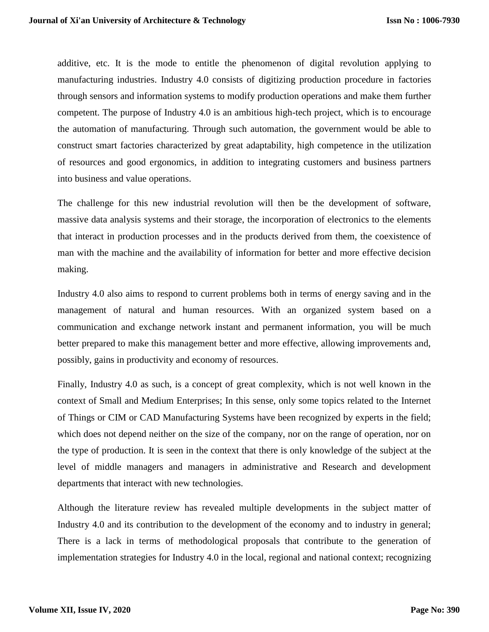additive, etc. It is the mode to entitle the phenomenon of digital revolution applying to manufacturing industries. Industry 4.0 consists of digitizing production procedure in factories through sensors and information systems to modify production operations and make them further competent. The purpose of Industry 4.0 is an ambitious high-tech project, which is to encourage the automation of manufacturing. Through such automation, the government would be able to construct smart factories characterized by great adaptability, high competence in the utilization of resources and good ergonomics, in addition to integrating customers and business partners into business and value operations.

The challenge for this new industrial revolution will then be the development of software, massive data analysis systems and their storage, the incorporation of electronics to the elements that interact in production processes and in the products derived from them, the coexistence of man with the machine and the availability of information for better and more effective decision making.

Industry 4.0 also aims to respond to current problems both in terms of energy saving and in the management of natural and human resources. With an organized system based on a communication and exchange network instant and permanent information, you will be much better prepared to make this management better and more effective, allowing improvements and, possibly, gains in productivity and economy of resources.

Finally, Industry 4.0 as such, is a concept of great complexity, which is not well known in the context of Small and Medium Enterprises; In this sense, only some topics related to the Internet of Things or CIM or CAD Manufacturing Systems have been recognized by experts in the field; which does not depend neither on the size of the company, nor on the range of operation, nor on the type of production. It is seen in the context that there is only knowledge of the subject at the level of middle managers and managers in administrative and Research and development departments that interact with new technologies.

Although the literature review has revealed multiple developments in the subject matter of Industry 4.0 and its contribution to the development of the economy and to industry in general; There is a lack in terms of methodological proposals that contribute to the generation of implementation strategies for Industry 4.0 in the local, regional and national context; recognizing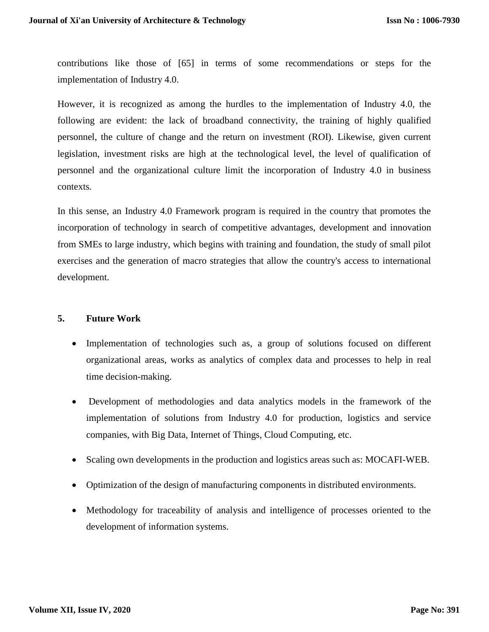contributions like those of [65] in terms of some recommendations or steps for the implementation of Industry 4.0.

However, it is recognized as among the hurdles to the implementation of Industry 4.0, the following are evident: the lack of broadband connectivity, the training of highly qualified personnel, the culture of change and the return on investment (ROI). Likewise, given current legislation, investment risks are high at the technological level, the level of qualification of personnel and the organizational culture limit the incorporation of Industry 4.0 in business contexts.

In this sense, an Industry 4.0 Framework program is required in the country that promotes the incorporation of technology in search of competitive advantages, development and innovation from SMEs to large industry, which begins with training and foundation, the study of small pilot exercises and the generation of macro strategies that allow the country's access to international development.

### **5. Future Work**

- Implementation of technologies such as, a group of solutions focused on different organizational areas, works as analytics of complex data and processes to help in real time decision-making.
- Development of methodologies and data analytics models in the framework of the implementation of solutions from Industry 4.0 for production, logistics and service companies, with Big Data, Internet of Things, Cloud Computing, etc.
- Scaling own developments in the production and logistics areas such as: MOCAFI-WEB.
- Optimization of the design of manufacturing components in distributed environments.
- Methodology for traceability of analysis and intelligence of processes oriented to the development of information systems.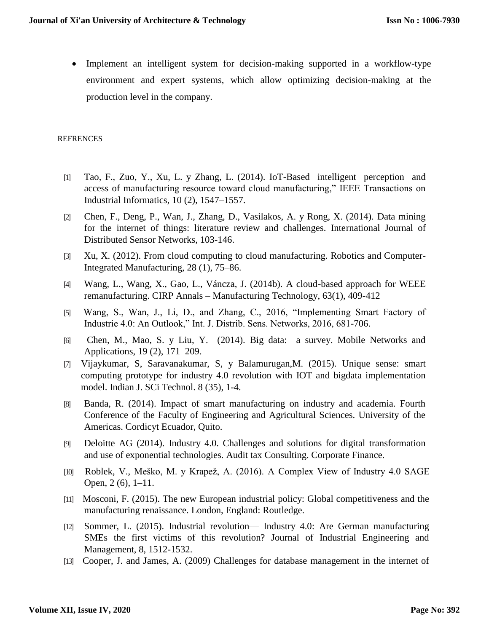• Implement an intelligent system for decision-making supported in a workflow-type environment and expert systems, which allow optimizing decision-making at the production level in the company.

#### **REFRENCES**

- [1] Tao, F., Zuo, Y., Xu, L. y Zhang, L. (2014). IoT-Based intelligent perception and access of manufacturing resource toward cloud manufacturing," IEEE Transactions on Industrial Informatics, 10 (2), 1547–1557.
- [2] Chen, F., Deng, P., Wan, J., Zhang, D., Vasilakos, A. y Rong, X. (2014). Data mining for the internet of things: literature review and challenges. International Journal of Distributed Sensor Networks, 103-146.
- [3] Xu, X. (2012). From cloud computing to cloud manufacturing. Robotics and Computer-Integrated Manufacturing, 28 (1), 75–86.
- [4] Wang, L., Wang, X., Gao, L., Váncza, J. (2014b). A cloud-based approach for WEEE remanufacturing. CIRP Annals – Manufacturing Technology, 63(1), 409-412
- [5] Wang, S., Wan, J., Li, D., and Zhang, C., 2016, "Implementing Smart Factory of Industrie 4.0: An Outlook," Int. J. Distrib. Sens. Networks, 2016, 681-706.
- [6] Chen, M., Mao, S. y Liu, Y. (2014). Big data: a survey. Mobile Networks and Applications, 19 (2), 171–209.
- [7] Vijaykumar, S, Saravanakumar, S, y Balamurugan,M. (2015). Unique sense: smart computing prototype for industry 4.0 revolution with IOT and bigdata implementation model. Indian J. SCi Technol. 8 (35), 1-4.
- [8] Banda, R. (2014). Impact of smart manufacturing on industry and academia. Fourth Conference of the Faculty of Engineering and Agricultural Sciences. University of the Americas. Cordicyt Ecuador, Quito.
- [9] Deloitte AG (2014). Industry 4.0. Challenges and solutions for digital transformation and use of exponential technologies. Audit tax Consulting. Corporate Finance.
- [10] Roblek, V., Meško, M. y Krapež, A. (2016). A Complex View of Industry 4.0 SAGE Open, 2 (6), 1–11.
- [11] Mosconi, F. (2015). The new European industrial policy: Global competitiveness and the manufacturing renaissance. London, England: Routledge.
- [12] Sommer, L. (2015). Industrial revolution— Industry 4.0: Are German manufacturing SMEs the first victims of this revolution? Journal of Industrial Engineering and Management, 8, 1512-1532.
- [13] Cooper, J. and James, A. (2009) Challenges for database management in the internet of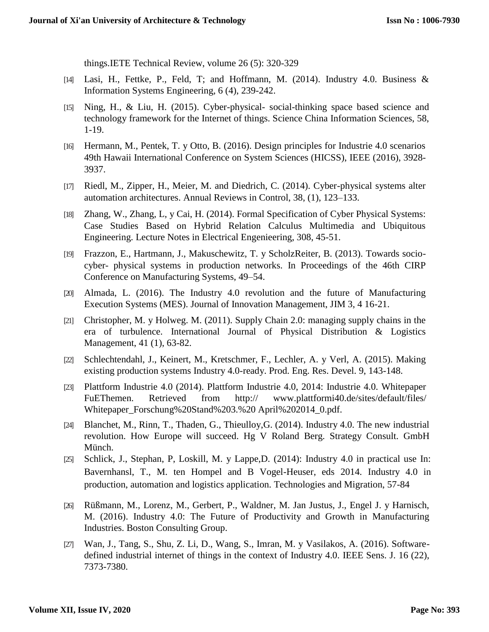things.IETE Technical Review, volume 26 (5): 320-329

- [14] Lasi, H., Fettke, P., Feld, T; and Hoffmann, M. (2014). Industry 4.0. Business & Information Systems Engineering, 6 (4), 239-242.
- [15] Ning, H., & Liu, H. (2015). Cyber-physical- social-thinking space based science and technology framework for the Internet of things. Science China Information Sciences, 58, 1-19.
- [16] Hermann, M., Pentek, T. y Otto, B. (2016). Design principles for Industrie 4.0 scenarios 49th Hawaii International Conference on System Sciences (HICSS), IEEE (2016), 3928- 3937.
- [17] Riedl, M., Zipper, H., Meier, M. and Diedrich, C. (2014). Cyber-physical systems alter automation architectures. Annual Reviews in Control, 38, (1), 123–133.
- [18] Zhang, W., Zhang, L, y Cai, H. (2014). Formal Specification of Cyber Physical Systems: Case Studies Based on Hybrid Relation Calculus Multimedia and Ubiquitous Engineering. Lecture Notes in Electrical Engenieering, 308, 45-51.
- [19] Frazzon, E., Hartmann, J., Makuschewitz, T. y ScholzReiter, B. (2013). Towards sociocyber- physical systems in production networks. In Proceedings of the 46th CIRP Conference on Manufacturing Systems, 49–54.
- [20] Almada, L. (2016). The Industry 4.0 revolution and the future of Manufacturing Execution Systems (MES). Journal of Innovation Management, JIM 3, 4 16-21.
- [21] Christopher, M. y Holweg. M. (2011). Supply Chain 2.0: managing supply chains in the era of turbulence. International Journal of Physical Distribution & Logistics Management, 41 (1), 63-82.
- [22] Schlechtendahl, J., Keinert, M., Kretschmer, F., Lechler, A. y Verl, A. (2015). Making existing production systems Industry 4.0-ready. Prod. Eng. Res. Devel. 9, 143-148.
- [23] Plattform Industrie 4.0 (2014). Plattform Industrie 4.0, 2014: Industrie 4.0. Whitepaper FuEThemen. Retrieved from http:// [www.plattformi40.de/sites/default/files/](http://www.plattformi40.de/sites/default/files/) Whitepaper\_Forschung%20Stand%203.%20 April%202014\_0.pdf.
- [24] Blanchet, M., Rinn, T., Thaden, G., Thieulloy,G. (2014). Industry 4.0. The new industrial revolution. How Europe will succeed. Hg V Roland Berg. Strategy Consult. GmbH Münch.
- [25] Schlick, J., Stephan, P, Loskill, M. y Lappe,D. (2014): Industry 4.0 in practical use In: Bavernhansl, T., M. ten Hompel and B Vogel-Heuser, eds 2014. Industry 4.0 in production, automation and logistics application. Technologies and Migration, 57-84
- [26] Rüßmann, M., Lorenz, M., Gerbert, P., Waldner, M. Jan Justus, J., Engel J. y Harnisch, M. (2016). Industry 4.0: The Future of Productivity and Growth in Manufacturing Industries. Boston Consulting Group.
- [27] Wan, J., Tang, S., Shu, Z. Li, D., Wang, S., Imran, M. y Vasilakos, A. (2016). Softwaredefined industrial internet of things in the context of Industry 4.0. IEEE Sens. J. 16 (22), 7373-7380.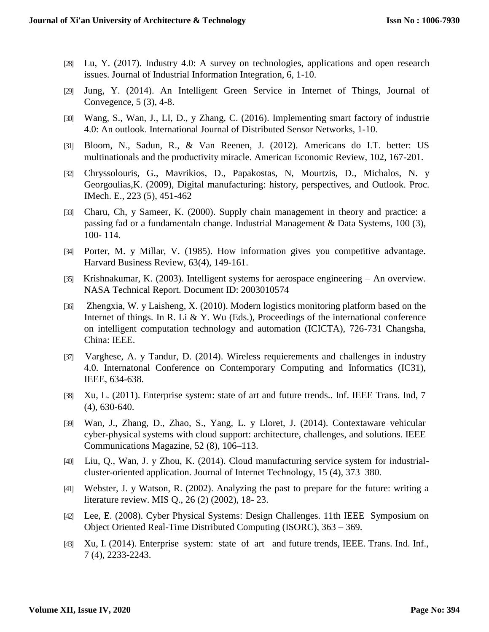- [28] Lu, Y. (2017). Industry 4.0: A survey on technologies, applications and open research issues. Journal of Industrial Information Integration, 6, 1-10.
- [29] Jung, Y. (2014). An Intelligent Green Service in Internet of Things, Journal of Convegence, 5 (3), 4-8.
- [30] Wang, S., Wan, J., LI, D., y Zhang, C. (2016). Implementing smart factory of industrie 4.0: An outlook. International Journal of Distributed Sensor Networks, 1-10.
- [31] Bloom, N., Sadun, R., & Van Reenen, J. (2012). Americans do I.T. better: US multinationals and the productivity miracle. American Economic Review, 102, 167-201.
- [32] Chryssolouris, G., Mavrikios, D., Papakostas, N, Mourtzis, D., Michalos, N. y Georgoulias,K. (2009), Digital manufacturing: history, perspectives, and Outlook. Proc. IMech. E., 223 (5), 451-462
- [33] Charu, Ch, y Sameer, K. (2000). Supply chain management in theory and practice: a passing fad or a fundamentaln change. Industrial Management & Data Systems, 100 (3), 100- 114.
- [34] Porter, M. y Millar, V. (1985). How information gives you competitive advantage. Harvard Business Review, 63(4), 149-161.
- [35] Krishnakumar, K. (2003). Intelligent systems for aerospace engineering An overview. NASA Technical Report. Document ID: 2003010574
- [36] Zhengxia, W. y Laisheng, X. (2010). Modern logistics monitoring platform based on the Internet of things. In R. Li & Y. Wu (Eds.), Proceedings of the international conference on intelligent computation technology and automation (ICICTA), 726-731 Changsha, China: IEEE.
- [37] Varghese, A. y Tandur, D. (2014). Wireless requierements and challenges in industry 4.0. Internatonal Conference on Contemporary Computing and Informatics (IC31), IEEE, 634-638.
- [38] Xu, L. (2011). Enterprise system: state of art and future trends.. Inf. IEEE Trans. Ind, 7 (4), 630-640.
- [39] Wan, J., Zhang, D., Zhao, S., Yang, L. y Lloret, J. (2014). Contextaware vehicular cyber-physical systems with cloud support: architecture, challenges, and solutions. IEEE Communications Magazine, 52 (8), 106–113.
- [40] Liu, Q., Wan, J. y Zhou, K. (2014). Cloud manufacturing service system for industrialcluster-oriented application. Journal of Internet Technology, 15 (4), 373–380.
- [41] Webster, J. y Watson, R. (2002). Analyzing the past to prepare for the future: writing a literature review. MIS Q., 26 (2) (2002), 18- 23.
- [42] Lee, E. (2008). Cyber Physical Systems: Design Challenges. 11th IEEE Symposium on Object Oriented Real-Time Distributed Computing (ISORC), 363 – 369.
- [43] Xu, I. (2014). Enterprise system: state of art and future trends, IEEE. Trans. Ind. Inf., 7 (4), 2233-2243.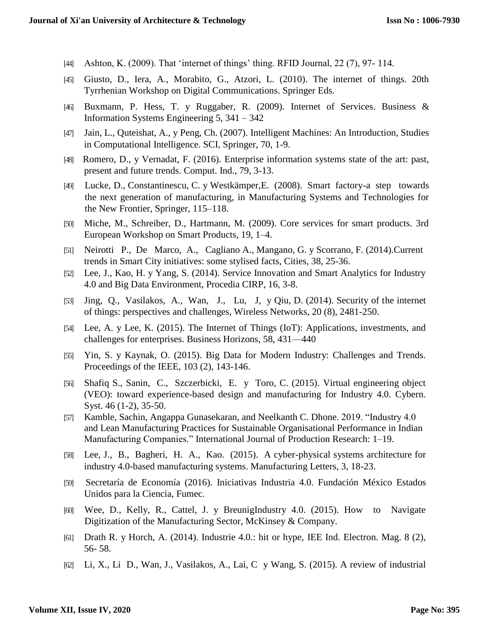- [44] Ashton, K. (2009). That 'internet of things' thing. RFID Journal, 22 (7), 97- 114.
- [45] Giusto, D., Iera, A., Morabito, G., Atzori, L. (2010). The internet of things. 20th Tyrrhenian Workshop on Digital Communications. Springer Eds.
- [46] Buxmann, P. Hess, T. y Ruggaber, R. (2009). Internet of Services. Business & Information Systems Engineering 5, 341 – 342
- [47] Jain, L., Quteishat, A., y Peng, Ch. (2007). Intelligent Machines: An Introduction, Studies in Computational Intelligence. SCI, Springer, 70, 1-9.
- [48] Romero, D., y Vernadat, F. (2016). Enterprise information systems state of the art: past, present and future trends. Comput. Ind., 79, 3-13.
- [49] Lucke, D., Constantinescu, C. y Westkämper,E. (2008). Smart factory-a step towards the next generation of manufacturing, in Manufacturing Systems and Technologies for the New Frontier, Springer, 115–118.
- [50] Miche, M., Schreiber, D., Hartmann, M. (2009). Core services for smart products. 3rd European Workshop on Smart Products, 19, 1–4.
- [51] Neirotti P., De Marco, A., Cagliano A., Mangano, G. y Scorrano, F. (2014).Current trends in Smart City initiatives: some stylised facts, Cities, 38, 25-36.
- [52] Lee, J., Kao, H. y Yang, S. (2014). Service Innovation and Smart Analytics for Industry 4.0 and Big Data Environment, Procedia CIRP, 16, 3-8.
- [53] Jing, Q., Vasilakos, A., Wan, J., Lu, J, y Qiu, D. (2014). Security of the internet of things: perspectives and challenges, Wireless Networks, 20 (8), 2481-250.
- [54] Lee, A. y Lee, K. (2015). The Internet of Things (IoT): Applications, investments, and challenges for enterprises. Business Horizons, 58, 431—440
- [55] Yin, S. y Kaynak, O. (2015). Big Data for Modern Industry: Challenges and Trends. Proceedings of the IEEE, 103 (2), 143-146.
- [56] Shafiq S., Sanin, C., Szczerbicki, E. y Toro, C. (2015). Virtual engineering object (VEO): toward experience-based design and manufacturing for Industry 4.0. Cybern. Syst. 46 (1-2), 35-50.
- [57] Kamble, Sachin, Angappa Gunasekaran, and Neelkanth C. Dhone. 2019. "Industry 4.0 and Lean Manufacturing Practices for Sustainable Organisational Performance in Indian Manufacturing Companies." International Journal of Production Research: 1–19.
- [58] Lee, J., B., Bagheri, H. A., Kao. (2015). A cyber-physical systems architecture for industry 4.0-based manufacturing systems. Manufacturing Letters, 3, 18-23.
- [59] Secretaría de Economía (2016). Iniciativas Industria 4.0. Fundación México Estados Unidos para la Ciencia, Fumec.
- [60] Wee, D., Kelly, R., Cattel, J. y BreunigIndustry 4.0. (2015). How to Navigate Digitization of the Manufacturing Sector, McKinsey & Company.
- [61] Drath R. y Horch, A. (2014). Industrie 4.0.: hit or hype, IEE Ind. Electron. Mag. 8 (2), 56- 58.
- [62] Li, X., Li D., Wan, J., Vasilakos, A., Lai, C y Wang, S. (2015). A review of industrial